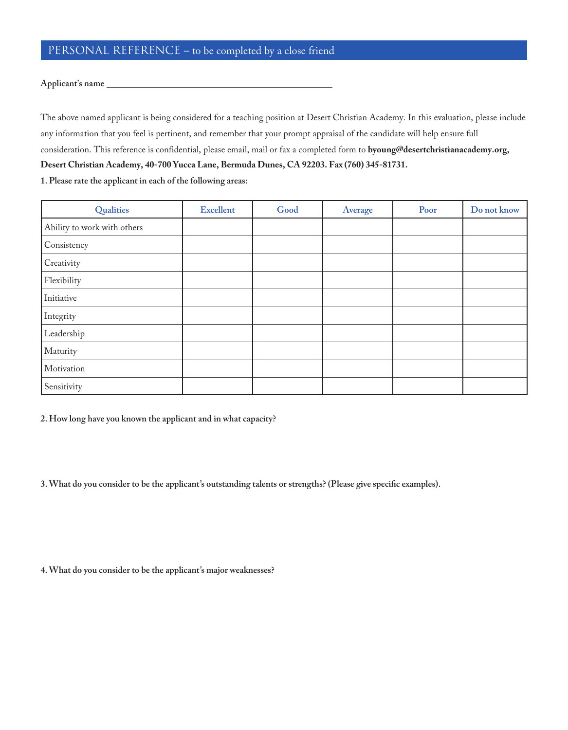## PERSONAL REFERENCE – to be completed by a close friend

## **Applicant's name**

The above named applicant is being considered for a teaching position at Desert Christian Academy. In this evaluation, please include any information that you feel is pertinent, and remember that your prompt appraisal of the candidate will help ensure full consideration. This reference is confidential, please email, mail or fax a completed form to byoung@desertchristianacademy.org, Desert Christian Academy, 40-700 Yucca Lane, Bermuda Dunes, CA 92203. Fax (760) 345-81731.

**1. Please rate the applicant in each of the following areas:**

| Qualities                   | <b>Excellent</b> | Good | Average | Poor | Do not know |
|-----------------------------|------------------|------|---------|------|-------------|
| Ability to work with others |                  |      |         |      |             |
| Consistency                 |                  |      |         |      |             |
| Creativity                  |                  |      |         |      |             |
| Flexibility                 |                  |      |         |      |             |
| Initiative                  |                  |      |         |      |             |
| Integrity                   |                  |      |         |      |             |
| Leadership                  |                  |      |         |      |             |
| Maturity                    |                  |      |         |      |             |
| Motivation                  |                  |      |         |      |             |
| Sensitivity                 |                  |      |         |      |             |

**2. How long have you known the applicant and in what capacity?**

**3. What do you consider to be the applicant's outstanding talents or strengths? (Please give specifc examples).**

**4. What do you consider to be the applicant's major weaknesses?**